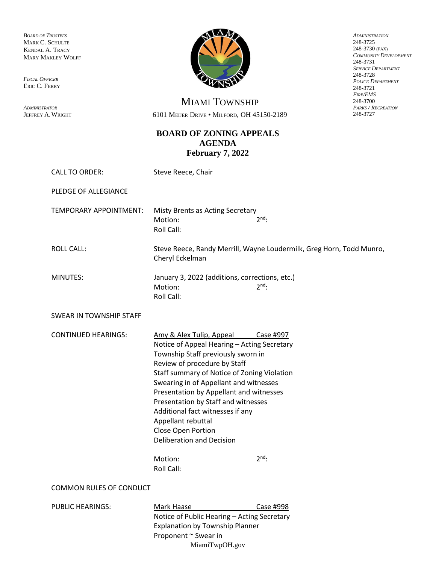*BOARD OF TRUSTEES* MARK C. SCHULTE KENDAL A. TRACY MARY MAKLEY WOLFF

*FISCAL OFFICER* ERIC C. FERRY

*ADMINISTRATOR* JEFFREY A. WRIGHT



*ADMINISTRATION* 248-3725 248-3730 (FAX) *COMMUNITY DEVELOPMENT* 248-3731 *SERVICE DEPARTMENT* 248-3728 *POLICE DEPARTMENT* 248-3721 *FIRE/EMS* 248-3700 *PARKS / RECREATION* 248-3727

MIAMI TOWNSHIP 6101 MEIJER DRIVE • MILFORD, OH 45150-2189

## **BOARD OF ZONING APPEALS AGENDA February 7, 2022**

| <b>CALL TO ORDER:</b>          | Steve Reece, Chair                                                                                                                                                                                                                                                                                                                                                                                                                                                              |                                                                      |
|--------------------------------|---------------------------------------------------------------------------------------------------------------------------------------------------------------------------------------------------------------------------------------------------------------------------------------------------------------------------------------------------------------------------------------------------------------------------------------------------------------------------------|----------------------------------------------------------------------|
| PLEDGE OF ALLEGIANCE           |                                                                                                                                                                                                                                                                                                                                                                                                                                                                                 |                                                                      |
| TEMPORARY APPOINTMENT:         | Misty Brents as Acting Secretary<br>Motion:<br>Roll Call:                                                                                                                                                                                                                                                                                                                                                                                                                       | $2^{\text{nd}}$ .                                                    |
| <b>ROLL CALL:</b>              | Cheryl Eckelman                                                                                                                                                                                                                                                                                                                                                                                                                                                                 | Steve Reece, Randy Merrill, Wayne Loudermilk, Greg Horn, Todd Munro, |
| MINUTES:                       | January 3, 2022 (additions, corrections, etc.)<br>Motion:<br>Roll Call:                                                                                                                                                                                                                                                                                                                                                                                                         | $2^{nd}$ .                                                           |
| SWEAR IN TOWNSHIP STAFF        |                                                                                                                                                                                                                                                                                                                                                                                                                                                                                 |                                                                      |
| <b>CONTINUED HEARINGS:</b>     | Amy & Alex Tulip, Appeal Case #997<br>Notice of Appeal Hearing - Acting Secretary<br>Township Staff previously sworn in<br>Review of procedure by Staff<br>Staff summary of Notice of Zoning Violation<br>Swearing in of Appellant and witnesses<br>Presentation by Appellant and witnesses<br>Presentation by Staff and witnesses<br>Additional fact witnesses if any<br>Appellant rebuttal<br>Close Open Portion<br><b>Deliberation and Decision</b><br>Motion:<br>Roll Call: | $2^{nd}$ :                                                           |
| <b>COMMON RULES OF CONDUCT</b> |                                                                                                                                                                                                                                                                                                                                                                                                                                                                                 |                                                                      |
| <b>PUBLIC HEARINGS:</b>        | Mark Haase<br>Notice of Public Hearing - Acting Secretary<br><b>Explanation by Township Planner</b>                                                                                                                                                                                                                                                                                                                                                                             | Case #998                                                            |

MiamiTwpOH.gov

Proponent ~ Swear in